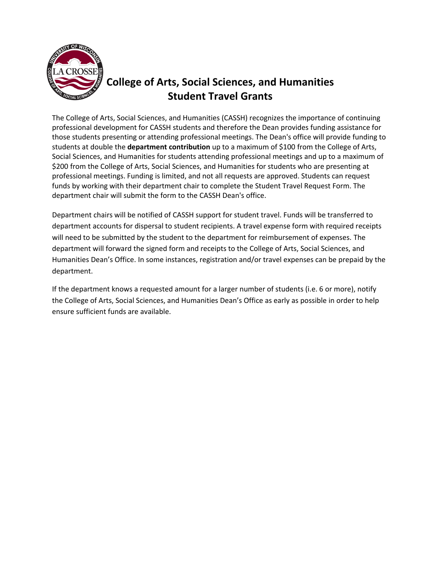

## **College of Arts, Social Sciences, and Humanities Student Travel Grants**

The College of Arts, Social Sciences, and Humanities (CASSH) recognizes the importance of continuing professional development for CASSH students and therefore the Dean provides funding assistance for those students presenting or attending professional meetings. The Dean's office will provide funding to students at double the **department contribution** up to a maximum of \$100 from the College of Arts, Social Sciences, and Humanities for students attending professional meetings and up to a maximum of \$200 from the College of Arts, Social Sciences, and Humanities for students who are presenting at professional meetings. Funding is limited, and not all requests are approved. Students can request funds by working with their department chair to complete the Student Travel Request Form. The department chair will submit the form to the CASSH Dean's office.

Department chairs will be notified of CASSH support for student travel. Funds will be transferred to department accounts for dispersal to student recipients. A travel expense form with required receipts will need to be submitted by the student to the department for reimbursement of expenses. The department will forward the signed form and receipts to the College of Arts, Social Sciences, and Humanities Dean's Office. In some instances, registration and/or travel expenses can be prepaid by the department.

If the department knows a requested amount for a larger number of students (i.e. 6 or more), notify the College of Arts, Social Sciences, and Humanities Dean's Office as early as possible in order to help ensure sufficient funds are available.